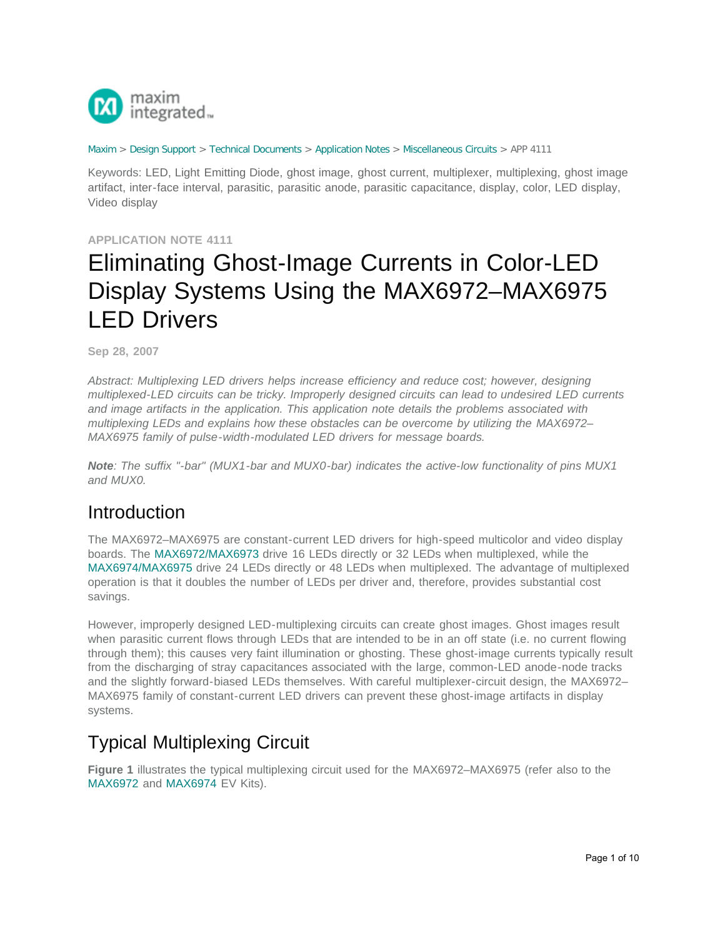

#### [Maxim](http://www.maximintegrated.com/) > [Design Support](http://www.maximintegrated.com/design/) > [Technical Documents](http://www.maximintegrated.com/design/techdocs/) > [Application Notes](http://www.maximintegrated.com/design/techdocs/app-notes/index.mvp) > [Miscellaneous Circuits](http://www.maximintegrated.com/design/techdocs/app-notes/index.mvp/id/18/c/Miscellaneous%20Circuits#c18) > APP 4111

Keywords: LED, Light Emitting Diode, ghost image, ghost current, multiplexer, multiplexing, ghost image artifact, inter-face interval, parasitic, parasitic anode, parasitic capacitance, display, color, LED display, Video display

#### **APPLICATION NOTE 4111**

# Eliminating Ghost-Image Currents in Color-LED Display Systems Using the MAX6972–MAX6975 LED Drivers

**Sep 28, 2007**

*Abstract: Multiplexing LED drivers helps increase efficiency and reduce cost; however, designing multiplexed-LED circuits can be tricky. Improperly designed circuits can lead to undesired LED currents and image artifacts in the application. This application note details the problems associated with multiplexing LEDs and explains how these obstacles can be overcome by utilizing the MAX6972– MAX6975 family of pulse-width-modulated LED drivers for message boards.*

*Note: The suffix "-bar" (MUX1-bar and MUX0-bar) indicates the active-low functionality of pins MUX1 and MUX0.* 

### Introduction

The MAX6972–MAX6975 are constant-current LED drivers for high-speed multicolor and video display boards. The [MAX6972/MAX6973](http://www.maximintegrated.com/max6972) drive 16 LEDs directly or 32 LEDs when multiplexed, while the [MAX6974/MAX6975](http://www.maximintegrated.com/max6974) drive 24 LEDs directly or 48 LEDs when multiplexed. The advantage of multiplexed operation is that it doubles the number of LEDs per driver and, therefore, provides substantial cost savings.

However, improperly designed LED-multiplexing circuits can create ghost images. Ghost images result when parasitic current flows through LEDs that are intended to be in an off state (i.e. no current flowing through them); this causes very faint illumination or ghosting. These ghost-image currents typically result from the discharging of stray capacitances associated with the large, common-LED anode-node tracks and the slightly forward-biased LEDs themselves. With careful multiplexer-circuit design, the MAX6972– MAX6975 family of constant-current LED drivers can prevent these ghost-image artifacts in display systems.

## Typical Multiplexing Circuit

**Figure 1** illustrates the typical multiplexing circuit used for the MAX6972–MAX6975 (refer also to the [MAX6972](http://www.maximintegrated.com/datasheet/index.mvp/id/5206) and [MAX6974](http://www.maximintegrated.com/datasheet/index.mvp/id/5207) EV Kits).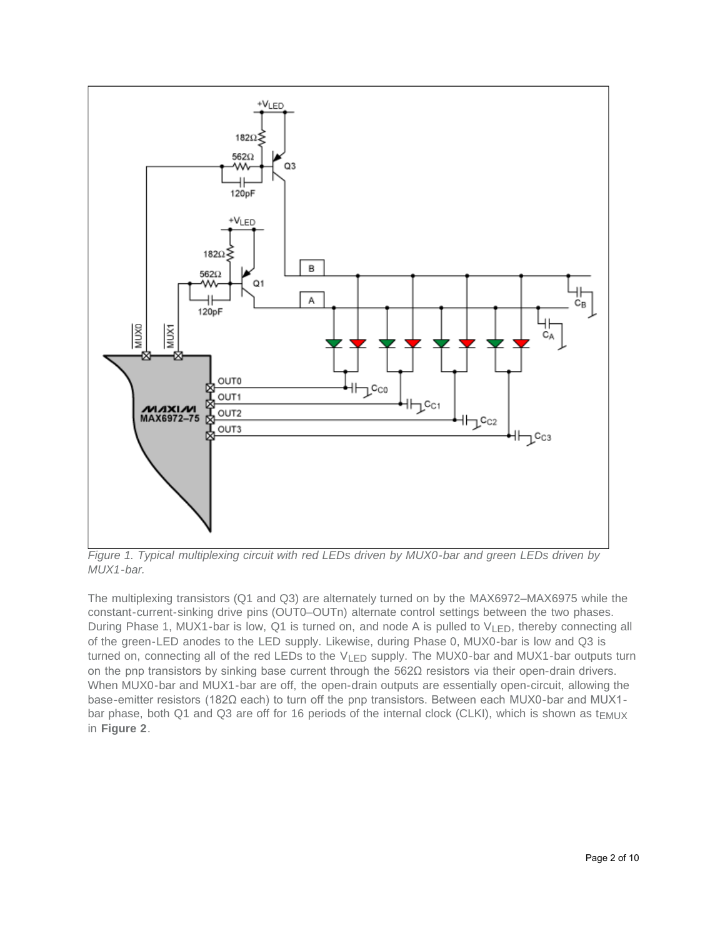

*Figure 1. Typical multiplexing circuit with red LEDs driven by MUX0-bar and green LEDs driven by MUX1-bar.*

The multiplexing transistors (Q1 and Q3) are alternately turned on by the MAX6972–MAX6975 while the constant-current-sinking drive pins (OUT0–OUTn) alternate control settings between the two phases. During Phase 1, MUX1-bar is low, Q1 is turned on, and node A is pulled to V<sub>LED</sub>, thereby connecting all of the green-LED anodes to the LED supply. Likewise, during Phase 0, MUX0-bar is low and Q3 is turned on, connecting all of the red LEDs to the  $V_{LED}$  supply. The MUX0-bar and MUX1-bar outputs turn on the pnp transistors by sinking base current through the 562Ω resistors via their open-drain drivers. When MUX0-bar and MUX1-bar are off, the open-drain outputs are essentially open-circuit, allowing the base-emitter resistors (182Ω each) to turn off the pnp transistors. Between each MUX0-bar and MUX1 bar phase, both Q1 and Q3 are off for 16 periods of the internal clock (CLKI), which is shown as  $t_{EMUX}$ in **Figure 2**.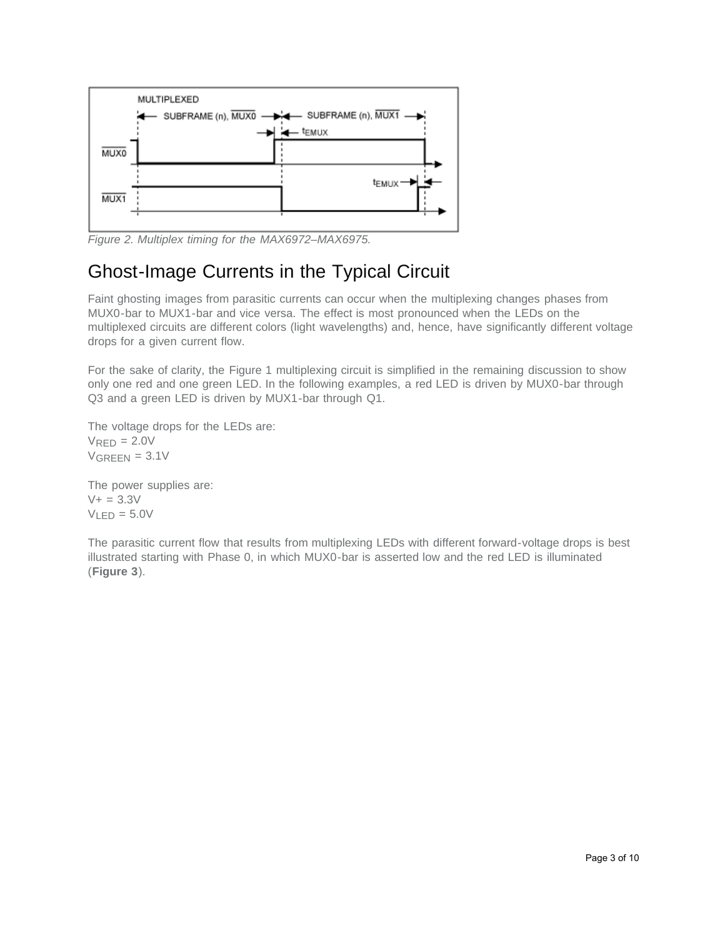

*Figure 2. Multiplex timing for the MAX6972–MAX6975.*

## Ghost-Image Currents in the Typical Circuit

Faint ghosting images from parasitic currents can occur when the multiplexing changes phases from MUX0-bar to MUX1-bar and vice versa. The effect is most pronounced when the LEDs on the multiplexed circuits are different colors (light wavelengths) and, hence, have significantly different voltage drops for a given current flow.

For the sake of clarity, the Figure 1 multiplexing circuit is simplified in the remaining discussion to show only one red and one green LED. In the following examples, a red LED is driven by MUX0-bar through Q3 and a green LED is driven by MUX1-bar through Q1.

The voltage drops for the LEDs are:  $V<sub>RFD</sub> = 2.0V$  $V$ GREEN =  $3.1V$ 

The power supplies are:  $V + = 3.3V$  $V_{LED} = 5.0V$ 

The parasitic current flow that results from multiplexing LEDs with different forward-voltage drops is best illustrated starting with Phase 0, in which MUX0-bar is asserted low and the red LED is illuminated (**Figure 3**).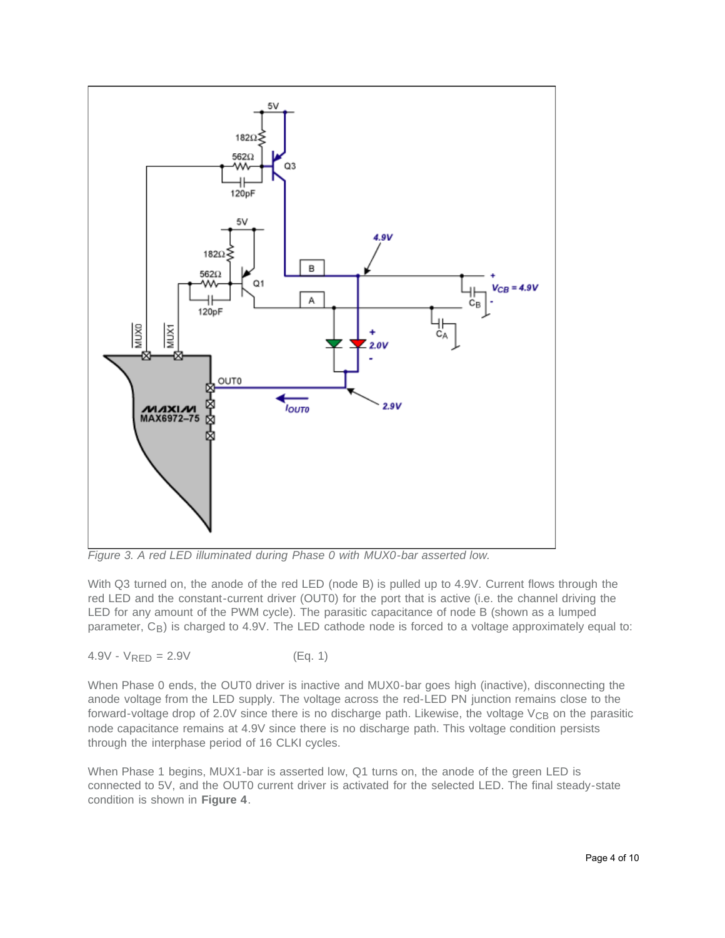

*Figure 3. A red LED illuminated during Phase 0 with MUX0-bar asserted low.*

With Q3 turned on, the anode of the red LED (node B) is pulled up to 4.9V. Current flows through the red LED and the constant-current driver (OUT0) for the port that is active (i.e. the channel driving the LED for any amount of the PWM cycle). The parasitic capacitance of node B (shown as a lumped parameter, C<sub>B</sub>) is charged to 4.9V. The LED cathode node is forced to a voltage approximately equal to:

$$
4.9V - V_{RED} = 2.9V
$$
 (Eq. 1)

When Phase 0 ends, the OUT0 driver is inactive and MUX0-bar goes high (inactive), disconnecting the anode voltage from the LED supply. The voltage across the red-LED PN junction remains close to the forward-voltage drop of 2.0V since there is no discharge path. Likewise, the voltage  $V_{CB}$  on the parasitic node capacitance remains at 4.9V since there is no discharge path. This voltage condition persists through the interphase period of 16 CLKI cycles.

When Phase 1 begins, MUX1-bar is asserted low, Q1 turns on, the anode of the green LED is connected to 5V, and the OUT0 current driver is activated for the selected LED. The final steady-state condition is shown in **Figure 4**.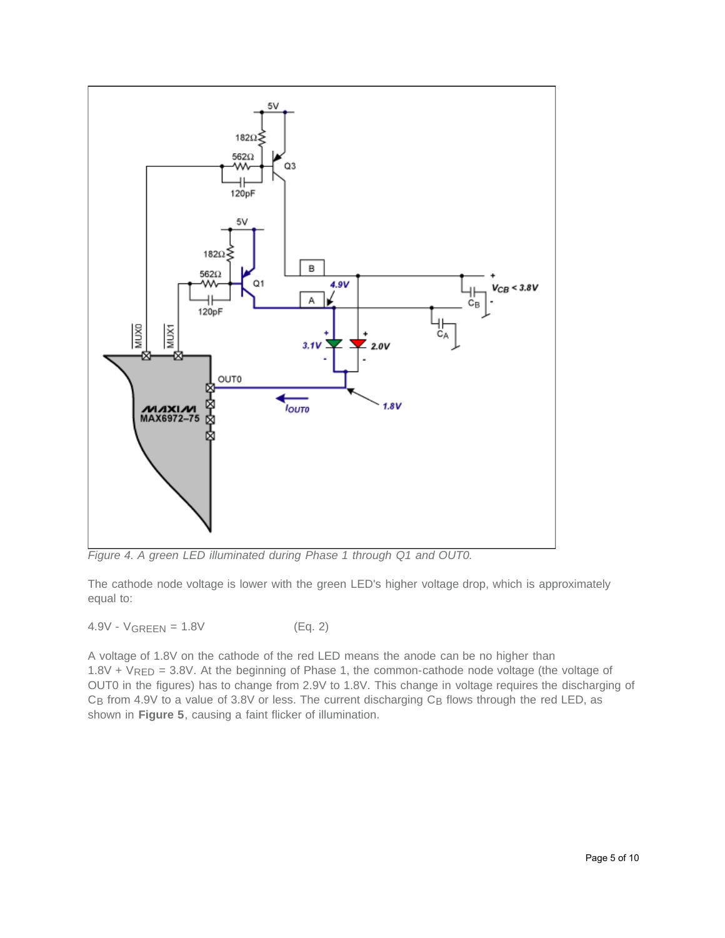

*Figure 4. A green LED illuminated during Phase 1 through Q1 and OUT0.*

The cathode node voltage is lower with the green LED's higher voltage drop, which is approximately equal to:

 $4.9V - V_{GRFFN} = 1.8V$  (Eq. 2)

A voltage of 1.8V on the cathode of the red LED means the anode can be no higher than  $1.8V + V_{RED} = 3.8V$ . At the beginning of Phase 1, the common-cathode node voltage (the voltage of OUT0 in the figures) has to change from 2.9V to 1.8V. This change in voltage requires the discharging of  $C_B$  from 4.9V to a value of 3.8V or less. The current discharging  $C_B$  flows through the red LED, as shown in **Figure 5**, causing a faint flicker of illumination.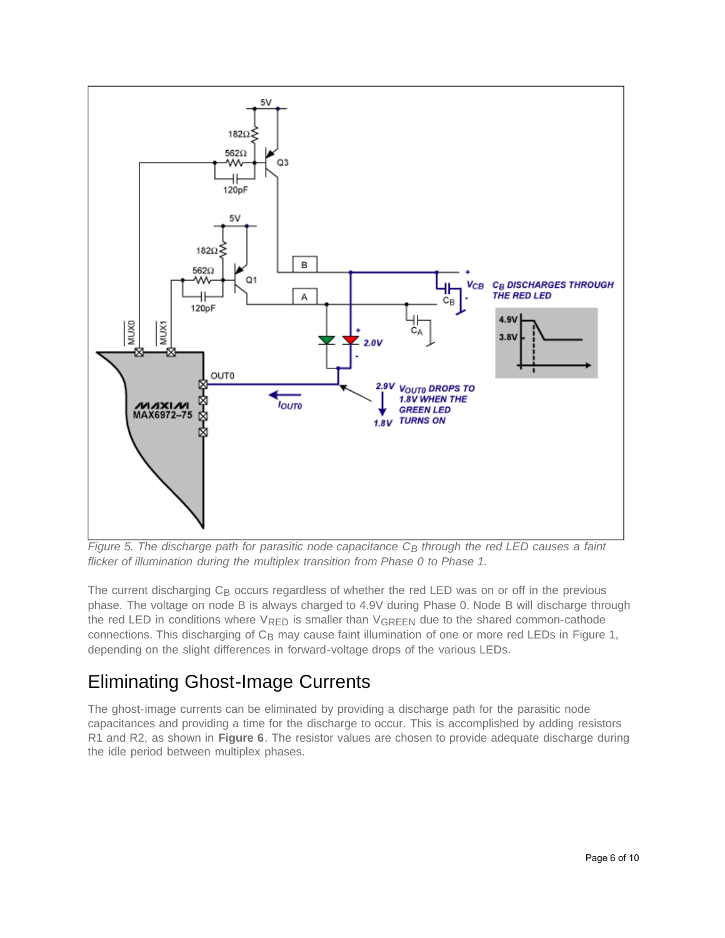

*Figure 5. The discharge path for parasitic node capacitance C<sub>B</sub> through the red LED causes a faint flicker of illumination during the multiplex transition from Phase 0 to Phase 1.*

The current discharging  $C_B$  occurs regardless of whether the red LED was on or off in the previous phase. The voltage on node B is always charged to 4.9V during Phase 0. Node B will discharge through the red LED in conditions where  $V_{\text{RED}}$  is smaller than  $V_{\text{GREEN}}$  due to the shared common-cathode connections. This discharging of C<sub>B</sub> may cause faint illumination of one or more red LEDs in Figure 1, depending on the slight differences in forward-voltage drops of the various LEDs.

## Eliminating Ghost-Image Currents

The ghost-image currents can be eliminated by providing a discharge path for the parasitic node capacitances and providing a time for the discharge to occur. This is accomplished by adding resistors R1 and R2, as shown in **Figure 6**. The resistor values are chosen to provide adequate discharge during the idle period between multiplex phases.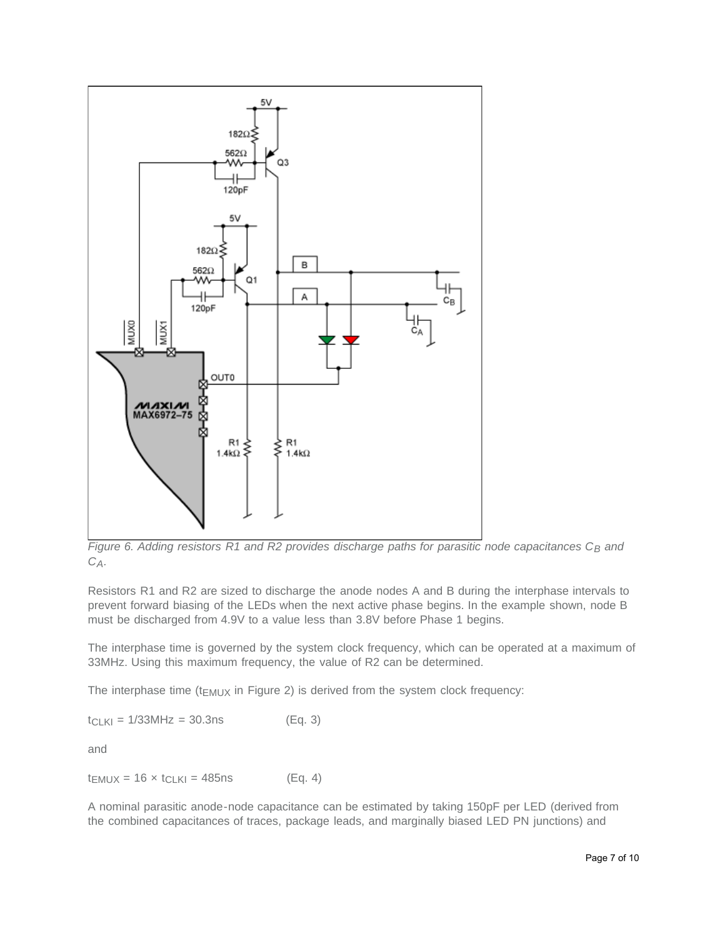

*Figure 6. Adding resistors R1 and R2 provides discharge paths for parasitic node capacitances C<sub>B</sub> and CA.*

Resistors R1 and R2 are sized to discharge the anode nodes A and B during the interphase intervals to prevent forward biasing of the LEDs when the next active phase begins. In the example shown, node B must be discharged from 4.9V to a value less than 3.8V before Phase 1 begins.

The interphase time is governed by the system clock frequency, which can be operated at a maximum of 33MHz. Using this maximum frequency, the value of R2 can be determined.

The interphase time ( $t_{EMUX}$  in Figure 2) is derived from the system clock frequency:

 $t_{CLKI} = 1/33MHz = 30.3ns$  (Eq. 3) and

 $t_{EMUX} = 16 \times t_{CLKI} = 485$ ns (Eq. 4)

A nominal parasitic anode-node capacitance can be estimated by taking 150pF per LED (derived from the combined capacitances of traces, package leads, and marginally biased LED PN junctions) and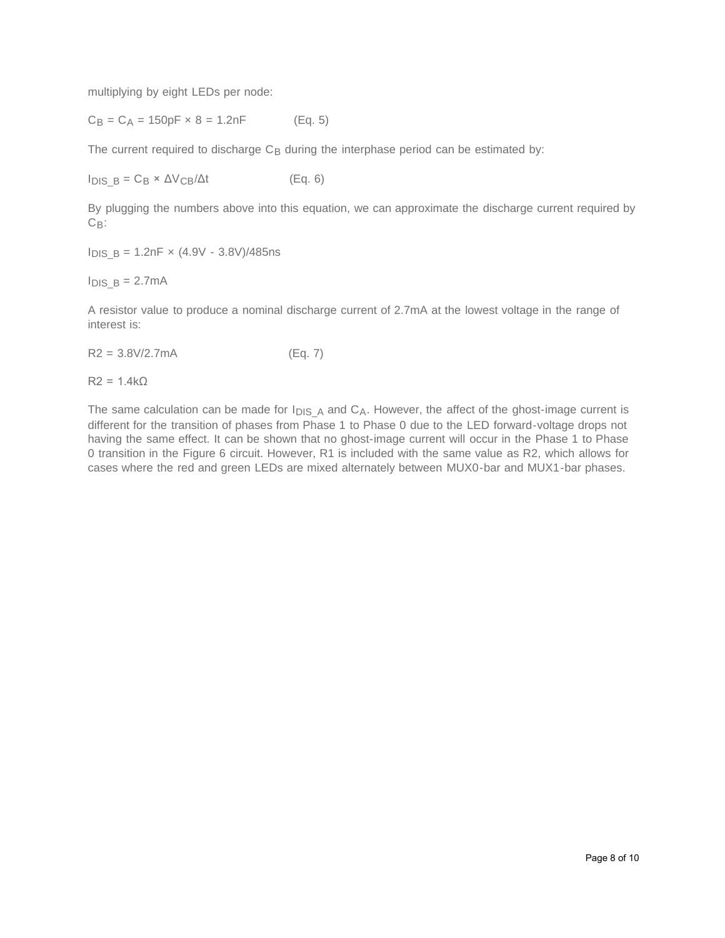multiplying by eight LEDs per node:

 $C_B = C_A = 150pF \times 8 = 1.2nF$  (Eq. 5)

The current required to discharge  $C_B$  during the interphase period can be estimated by:

 $I_{DIS}$  B = C<sub>B</sub> ×  $\Delta V_{CB}/\Delta t$  (Eq. 6)

By plugging the numbers above into this equation, we can approximate the discharge current required by  $C_{\mathsf{B}}$ :

 $I_{DIS}$  B = 1.2nF  $\times$  (4.9V - 3.8V)/485ns

 $I_{DIS}$  B = 2.7mA

A resistor value to produce a nominal discharge current of 2.7mA at the lowest voltage in the range of interest is:

 $R2 = 3.8 \frac{\text{V}}{2.7 \text{mA}}$  (Eq. 7)

 $R2 = 1.4k\Omega$ 

The same calculation can be made for  $I_{DIS\_A}$  and  $C_A$ . However, the affect of the ghost-image current is different for the transition of phases from Phase 1 to Phase 0 due to the LED forward-voltage drops not having the same effect. It can be shown that no ghost-image current will occur in the Phase 1 to Phase 0 transition in the Figure 6 circuit. However, R1 is included with the same value as R2, which allows for cases where the red and green LEDs are mixed alternately between MUX0-bar and MUX1-bar phases.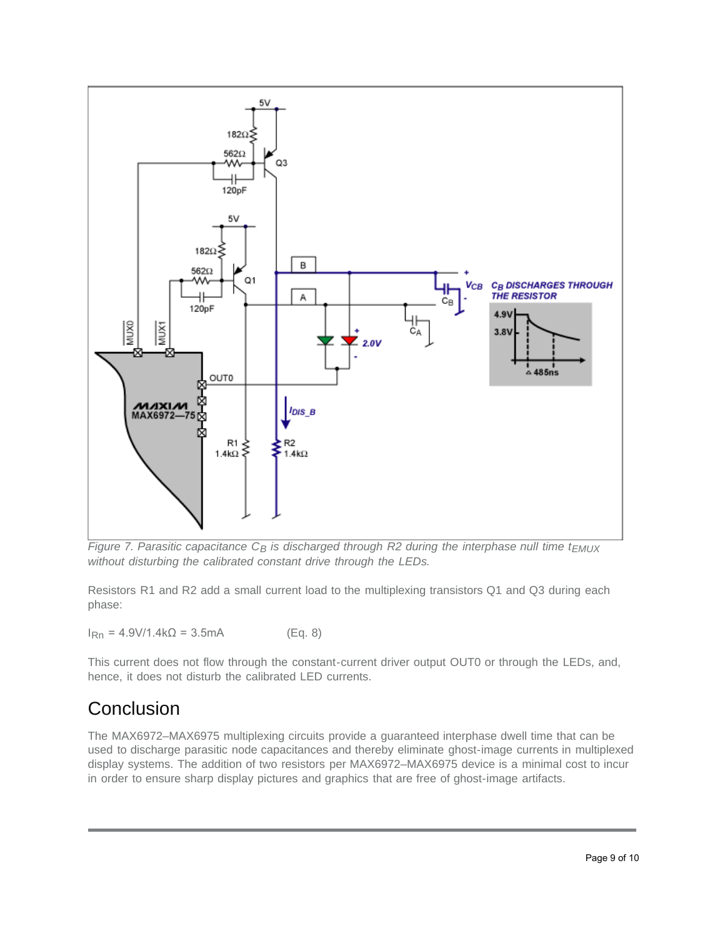

*Figure 7. Parasitic capacitance C<sub>B</sub> is discharged through R2 during the interphase null time t<sub>EMUX</sub> without disturbing the calibrated constant drive through the LEDs.*

Resistors R1 and R2 add a small current load to the multiplexing transistors Q1 and Q3 during each phase:

 $I_{\rm Rn}$  = 4.9V/1.4k $\Omega$  = 3.5mA (Eq. 8)

This current does not flow through the constant-current driver output OUT0 or through the LEDs, and, hence, it does not disturb the calibrated LED currents.

## **Conclusion**

The MAX6972–MAX6975 multiplexing circuits provide a guaranteed interphase dwell time that can be used to discharge parasitic node capacitances and thereby eliminate ghost-image currents in multiplexed display systems. The addition of two resistors per MAX6972–MAX6975 device is a minimal cost to incur in order to ensure sharp display pictures and graphics that are free of ghost-image artifacts.